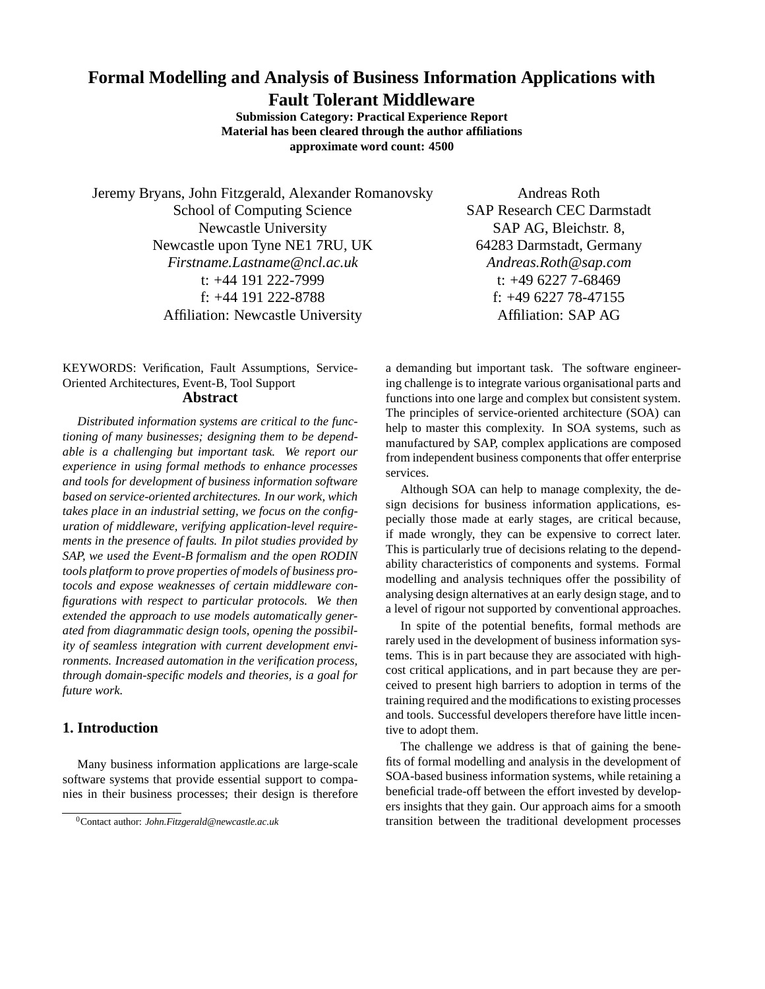# **Formal Modelling and Analysis of Business Information Applications with**

**Fault Tolerant Middleware**

**Submission Category: Practical Experience Report Material has been cleared through the author affiliations approximate word count: 4500**

Jeremy Bryans, John Fitzgerald, Alexander Romanovsky School of Computing Science Newcastle University Newcastle upon Tyne NE1 7RU, UK *Firstname.Lastname@ncl.ac.uk* t: +44 191 222-7999 f: +44 191 222-8788 Affiliation: Newcastle University

KEYWORDS: Verification, Fault Assumptions, Service-Oriented Architectures, Event-B, Tool Support **Abstract**

*Distributed information systems are critical to the functioning of many businesses; designing them to be dependable is a challenging but important task. We report our experience in using formal methods to enhance processes and tools for development of business information software based on service-oriented architectures. In our work, which takes place in an industrial setting, we focus on the configuration of middleware, verifying application-level requirements in the presence of faults. In pilot studies provided by SAP, we used the Event-B formalism and the open RODIN tools platform to prove properties of models of business protocols and expose weaknesses of certain middleware configurations with respect to particular protocols. We then extended the approach to use models automatically generated from diagrammatic design tools, opening the possibility of seamless integration with current development environments. Increased automation in the verification process, through domain-specific models and theories, is a goal for future work.*

# **1. Introduction**

Many business information applications are large-scale software systems that provide essential support to companies in their business processes; their design is therefore

Andreas Roth SAP Research CEC Darmstadt SAP AG, Bleichstr. 8, 64283 Darmstadt, Germany *Andreas.Roth@sap.com* t: +49 6227 7-68469 f: +49 6227 78-47155 Affiliation: SAP AG

a demanding but important task. The software engineering challenge is to integrate various organisational parts and functions into one large and complex but consistent system. The principles of service-oriented architecture (SOA) can help to master this complexity. In SOA systems, such as manufactured by SAP, complex applications are composed from independent business components that offer enterprise services.

Although SOA can help to manage complexity, the design decisions for business information applications, especially those made at early stages, are critical because, if made wrongly, they can be expensive to correct later. This is particularly true of decisions relating to the dependability characteristics of components and systems. Formal modelling and analysis techniques offer the possibility of analysing design alternatives at an early design stage, and to a level of rigour not supported by conventional approaches.

In spite of the potential benefits, formal methods are rarely used in the development of business information systems. This is in part because they are associated with highcost critical applications, and in part because they are perceived to present high barriers to adoption in terms of the training required and the modifications to existing processes and tools. Successful developers therefore have little incentive to adopt them.

The challenge we address is that of gaining the benefits of formal modelling and analysis in the development of SOA-based business information systems, while retaining a beneficial trade-off between the effort invested by developers insights that they gain. Our approach aims for a smooth transition between the traditional development processes

<sup>0</sup>Contact author: *John.Fitzgerald@newcastle.ac.uk*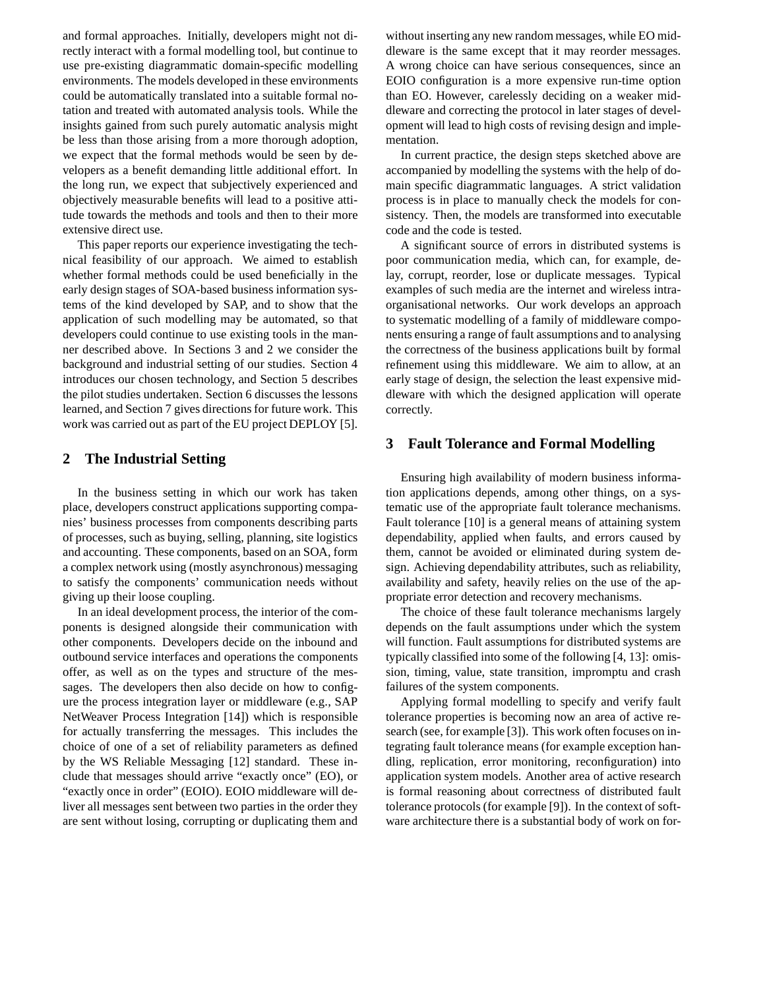and formal approaches. Initially, developers might not directly interact with a formal modelling tool, but continue to use pre-existing diagrammatic domain-specific modelling environments. The models developed in these environments could be automatically translated into a suitable formal notation and treated with automated analysis tools. While the insights gained from such purely automatic analysis might be less than those arising from a more thorough adoption, we expect that the formal methods would be seen by developers as a benefit demanding little additional effort. In the long run, we expect that subjectively experienced and objectively measurable benefits will lead to a positive attitude towards the methods and tools and then to their more extensive direct use.

This paper reports our experience investigating the technical feasibility of our approach. We aimed to establish whether formal methods could be used beneficially in the early design stages of SOA-based business information systems of the kind developed by SAP, and to show that the application of such modelling may be automated, so that developers could continue to use existing tools in the manner described above. In Sections 3 and 2 we consider the background and industrial setting of our studies. Section 4 introduces our chosen technology, and Section 5 describes the pilot studies undertaken. Section 6 discusses the lessons learned, and Section 7 gives directions for future work. This work was carried out as part of the EU project DEPLOY [5].

## **2 The Industrial Setting**

In the business setting in which our work has taken place, developers construct applications supporting companies' business processes from components describing parts of processes, such as buying, selling, planning, site logistics and accounting. These components, based on an SOA, form a complex network using (mostly asynchronous) messaging to satisfy the components' communication needs without giving up their loose coupling.

In an ideal development process, the interior of the components is designed alongside their communication with other components. Developers decide on the inbound and outbound service interfaces and operations the components offer, as well as on the types and structure of the messages. The developers then also decide on how to configure the process integration layer or middleware (e.g., SAP NetWeaver Process Integration [14]) which is responsible for actually transferring the messages. This includes the choice of one of a set of reliability parameters as defined by the WS Reliable Messaging [12] standard. These include that messages should arrive "exactly once" (EO), or "exactly once in order" (EOIO). EOIO middleware will deliver all messages sent between two parties in the order they are sent without losing, corrupting or duplicating them and

without inserting any new random messages, while EO middleware is the same except that it may reorder messages. A wrong choice can have serious consequences, since an EOIO configuration is a more expensive run-time option than EO. However, carelessly deciding on a weaker middleware and correcting the protocol in later stages of development will lead to high costs of revising design and implementation.

In current practice, the design steps sketched above are accompanied by modelling the systems with the help of domain specific diagrammatic languages. A strict validation process is in place to manually check the models for consistency. Then, the models are transformed into executable code and the code is tested.

A significant source of errors in distributed systems is poor communication media, which can, for example, delay, corrupt, reorder, lose or duplicate messages. Typical examples of such media are the internet and wireless intraorganisational networks. Our work develops an approach to systematic modelling of a family of middleware components ensuring a range of fault assumptions and to analysing the correctness of the business applications built by formal refinement using this middleware. We aim to allow, at an early stage of design, the selection the least expensive middleware with which the designed application will operate correctly.

#### **3 Fault Tolerance and Formal Modelling**

Ensuring high availability of modern business information applications depends, among other things, on a systematic use of the appropriate fault tolerance mechanisms. Fault tolerance [10] is a general means of attaining system dependability, applied when faults, and errors caused by them, cannot be avoided or eliminated during system design. Achieving dependability attributes, such as reliability, availability and safety, heavily relies on the use of the appropriate error detection and recovery mechanisms.

The choice of these fault tolerance mechanisms largely depends on the fault assumptions under which the system will function. Fault assumptions for distributed systems are typically classified into some of the following [4, 13]: omission, timing, value, state transition, impromptu and crash failures of the system components.

Applying formal modelling to specify and verify fault tolerance properties is becoming now an area of active research (see, for example [3]). This work often focuses on integrating fault tolerance means (for example exception handling, replication, error monitoring, reconfiguration) into application system models. Another area of active research is formal reasoning about correctness of distributed fault tolerance protocols (for example [9]). In the context of software architecture there is a substantial body of work on for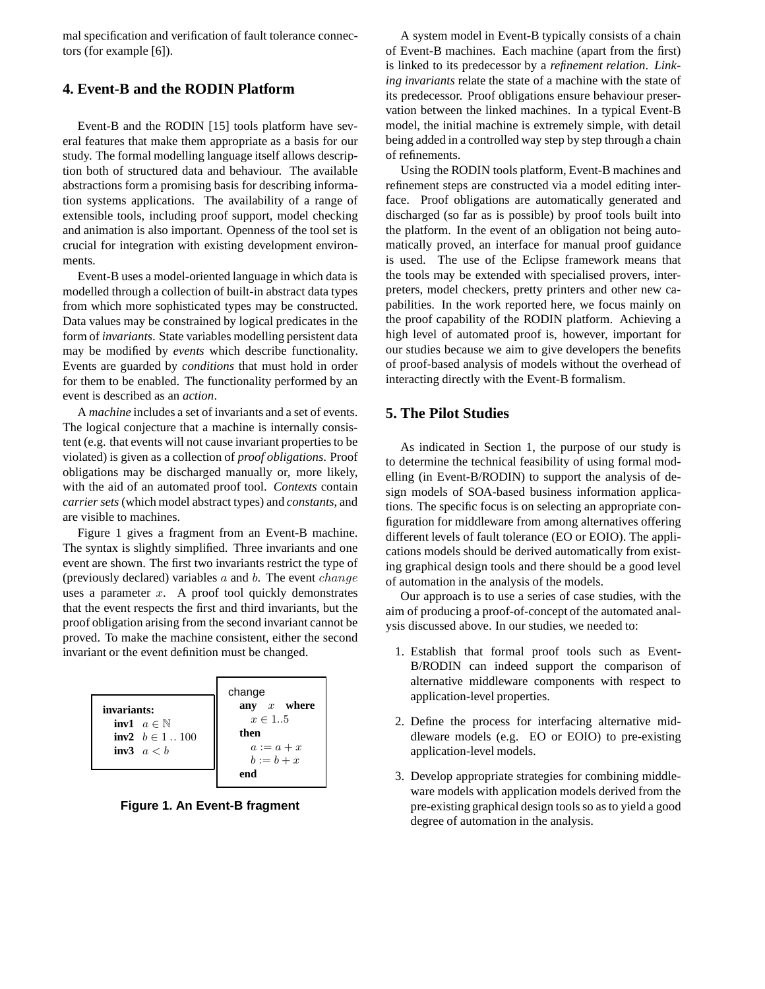mal specification and verification of fault tolerance connectors (for example [6]).

## **4. Event-B and the RODIN Platform**

Event-B and the RODIN [15] tools platform have several features that make them appropriate as a basis for our study. The formal modelling language itself allows description both of structured data and behaviour. The available abstractions form a promising basis for describing information systems applications. The availability of a range of extensible tools, including proof support, model checking and animation is also important. Openness of the tool set is crucial for integration with existing development environments.

Event-B uses a model-oriented language in which data is modelled through a collection of built-in abstract data types from which more sophisticated types may be constructed. Data values may be constrained by logical predicates in the form of *invariants*. State variables modelling persistent data may be modified by *events* which describe functionality. Events are guarded by *conditions* that must hold in order for them to be enabled. The functionality performed by an event is described as an *action*.

A *machine* includes a set of invariants and a set of events. The logical conjecture that a machine is internally consistent (e.g. that events will not cause invariant properties to be violated) is given as a collection of *proof obligations*. Proof obligations may be discharged manually or, more likely, with the aid of an automated proof tool. *Contexts* contain *carrier sets* (which model abstract types) and *constants*, and are visible to machines.

Figure 1 gives a fragment from an Event-B machine. The syntax is slightly simplified. Three invariants and one event are shown. The first two invariants restrict the type of (previously declared) variables  $a$  and  $b$ . The event *change* uses a parameter  $x$ . A proof tool quickly demonstrates that the event respects the first and third invariants, but the proof obligation arising from the second invariant cannot be proved. To make the machine consistent, either the second invariant or the event definition must be changed.



**Figure 1. An Event-B fragment**

A system model in Event-B typically consists of a chain of Event-B machines. Each machine (apart from the first) is linked to its predecessor by a *refinement relation*. *Linking invariants* relate the state of a machine with the state of its predecessor. Proof obligations ensure behaviour preservation between the linked machines. In a typical Event-B model, the initial machine is extremely simple, with detail being added in a controlled way step by step through a chain of refinements.

Using the RODIN tools platform, Event-B machines and refinement steps are constructed via a model editing interface. Proof obligations are automatically generated and discharged (so far as is possible) by proof tools built into the platform. In the event of an obligation not being automatically proved, an interface for manual proof guidance is used. The use of the Eclipse framework means that the tools may be extended with specialised provers, interpreters, model checkers, pretty printers and other new capabilities. In the work reported here, we focus mainly on the proof capability of the RODIN platform. Achieving a high level of automated proof is, however, important for our studies because we aim to give developers the benefits of proof-based analysis of models without the overhead of interacting directly with the Event-B formalism.

### **5. The Pilot Studies**

As indicated in Section 1, the purpose of our study is to determine the technical feasibility of using formal modelling (in Event-B/RODIN) to support the analysis of design models of SOA-based business information applications. The specific focus is on selecting an appropriate configuration for middleware from among alternatives offering different levels of fault tolerance (EO or EOIO). The applications models should be derived automatically from existing graphical design tools and there should be a good level of automation in the analysis of the models.

Our approach is to use a series of case studies, with the aim of producing a proof-of-concept of the automated analysis discussed above. In our studies, we needed to:

- 1. Establish that formal proof tools such as Event-B/RODIN can indeed support the comparison of alternative middleware components with respect to application-level properties.
- 2. Define the process for interfacing alternative middleware models (e.g. EO or EOIO) to pre-existing application-level models.
- 3. Develop appropriate strategies for combining middleware models with application models derived from the pre-existing graphical design tools so as to yield a good degree of automation in the analysis.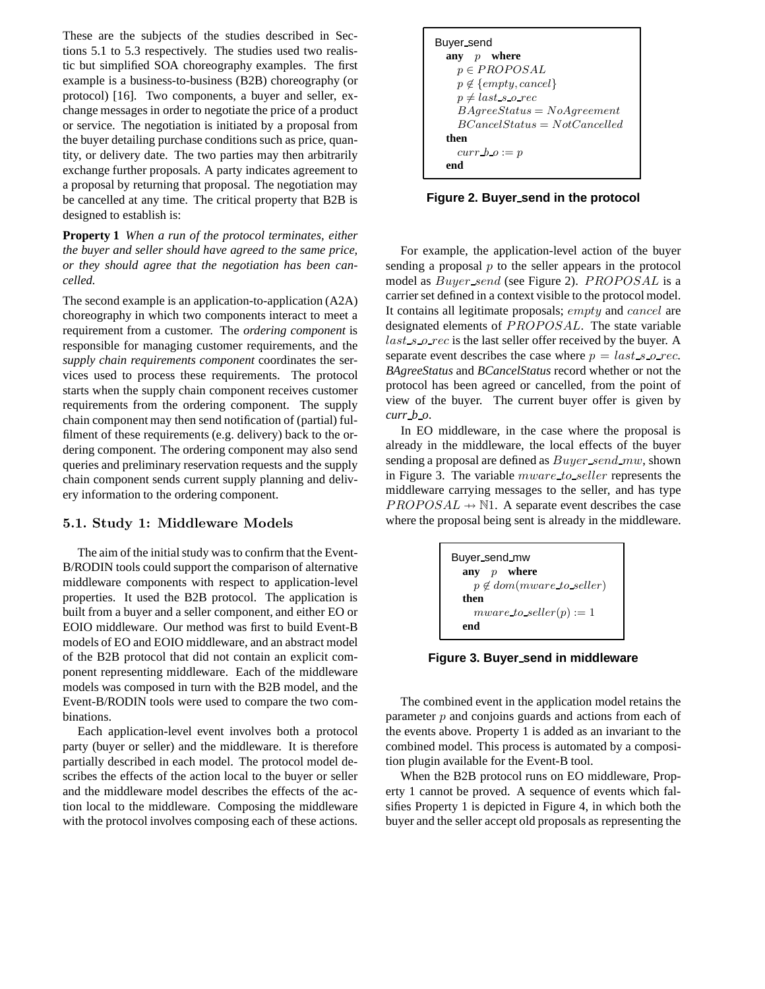These are the subjects of the studies described in Sections 5.1 to 5.3 respectively. The studies used two realistic but simplified SOA choreography examples. The first example is a business-to-business (B2B) choreography (or protocol) [16]. Two components, a buyer and seller, exchange messages in order to negotiate the price of a product or service. The negotiation is initiated by a proposal from the buyer detailing purchase conditions such as price, quantity, or delivery date. The two parties may then arbitrarily exchange further proposals. A party indicates agreement to a proposal by returning that proposal. The negotiation may be cancelled at any time. The critical property that B2B is designed to establish is:

**Property 1** *When a run of the protocol terminates, either the buyer and seller should have agreed to the same price, or they should agree that the negotiation has been cancelled.*

The second example is an application-to-application (A2A) choreography in which two components interact to meet a requirement from a customer. The *ordering component* is responsible for managing customer requirements, and the *supply chain requirements component* coordinates the services used to process these requirements. The protocol starts when the supply chain component receives customer requirements from the ordering component. The supply chain component may then send notification of (partial) fulfilment of these requirements (e.g. delivery) back to the ordering component. The ordering component may also send queries and preliminary reservation requests and the supply chain component sends current supply planning and delivery information to the ordering component.

#### 5.1. Study 1: Middleware Models

The aim of the initial study was to confirm that the Event-B/RODIN tools could support the comparison of alternative middleware components with respect to application-level properties. It used the B2B protocol. The application is built from a buyer and a seller component, and either EO or EOIO middleware. Our method was first to build Event-B models of EO and EOIO middleware, and an abstract model of the B2B protocol that did not contain an explicit component representing middleware. Each of the middleware models was composed in turn with the B2B model, and the Event-B/RODIN tools were used to compare the two combinations.

Each application-level event involves both a protocol party (buyer or seller) and the middleware. It is therefore partially described in each model. The protocol model describes the effects of the action local to the buyer or seller and the middleware model describes the effects of the action local to the middleware. Composing the middleware with the protocol involves composing each of these actions.



**Figure 2. Buyer send in the protocol**

For example, the application-level action of the buyer sending a proposal  $p$  to the seller appears in the protocol model as Buyer send (see Figure 2). PROPOSAL is a carrier set defined in a context visible to the protocol model. It contains all legitimate proposals; empty and cancel are designated elements of *PROPOSAL*. The state variable last s o rec is the last seller offer received by the buyer. A separate event describes the case where  $p = last \cdot s \cdot o \cdot rec$ . *BAgreeStatus* and *BCancelStatus* record whether or not the protocol has been agreed or cancelled, from the point of view of the buyer. The current buyer offer is given by *curr b o*.

In EO middleware, in the case where the proposal is already in the middleware, the local effects of the buyer sending a proposal are defined as *Buyer\_send\_mw*, shown in Figure 3. The variable *mware\_to\_seller* represents the middleware carrying messages to the seller, and has type  $PROPOSAL \rightarrow \mathbb{N}1$ . A separate event describes the case where the proposal being sent is already in the middleware.

```
Buyer send mw
any p where
   p \notin dom(mware_to_seller)then
   mware to seller(p) := 1end
```
**Figure 3. Buyer send in middleware**

The combined event in the application model retains the parameter  $p$  and conjoins guards and actions from each of the events above. Property 1 is added as an invariant to the combined model. This process is automated by a composition plugin available for the Event-B tool.

When the B2B protocol runs on EO middleware, Property 1 cannot be proved. A sequence of events which falsifies Property 1 is depicted in Figure 4, in which both the buyer and the seller accept old proposals as representing the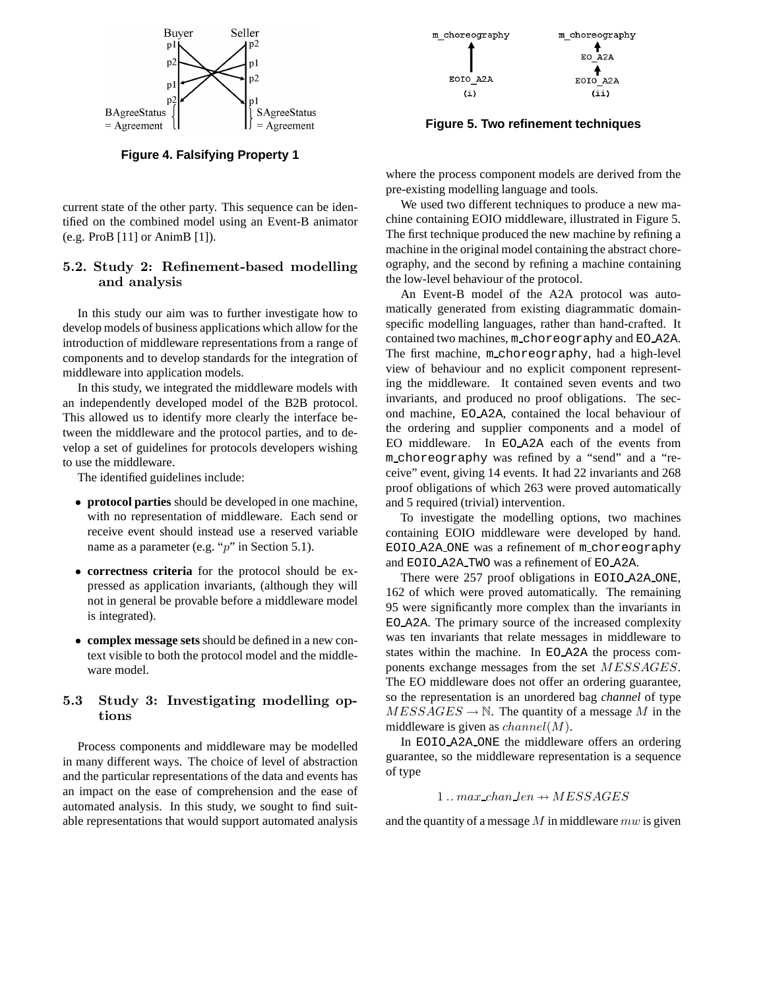



**Figure 5. Two refinement techniques**

**Figure 4. Falsifying Property 1**

current state of the other party. This sequence can be identified on the combined model using an Event-B animator (e.g. ProB [11] or AnimB [1]).

## 5.2. Study 2: Refinement-based modelling and analysis

In this study our aim was to further investigate how to develop models of business applications which allow for the introduction of middleware representations from a range of components and to develop standards for the integration of middleware into application models.

In this study, we integrated the middleware models with an independently developed model of the B2B protocol. This allowed us to identify more clearly the interface between the middleware and the protocol parties, and to develop a set of guidelines for protocols developers wishing to use the middleware.

The identified guidelines include:

- **protocol parties** should be developed in one machine, with no representation of middleware. Each send or receive event should instead use a reserved variable name as a parameter (e.g. " $p$ " in Section 5.1).
- **correctness criteria** for the protocol should be expressed as application invariants, (although they will not in general be provable before a middleware model is integrated).
- **complex message sets** should be defined in a new context visible to both the protocol model and the middleware model.

## 5.3 Study 3: Investigating modelling options

Process components and middleware may be modelled in many different ways. The choice of level of abstraction and the particular representations of the data and events has an impact on the ease of comprehension and the ease of automated analysis. In this study, we sought to find suitable representations that would support automated analysis

where the process component models are derived from the pre-existing modelling language and tools.

We used two different techniques to produce a new machine containing EOIO middleware, illustrated in Figure 5. The first technique produced the new machine by refining a machine in the original model containing the abstract choreography, and the second by refining a machine containing the low-level behaviour of the protocol.

An Event-B model of the A2A protocol was automatically generated from existing diagrammatic domainspecific modelling languages, rather than hand-crafted. It contained two machines, m choreography and EO A2A. The first machine, m\_choreography, had a high-level view of behaviour and no explicit component representing the middleware. It contained seven events and two invariants, and produced no proof obligations. The second machine, EO A2A, contained the local behaviour of the ordering and supplier components and a model of EO middleware. In EO A2A each of the events from m choreography was refined by a "send" and a "receive" event, giving 14 events. It had 22 invariants and 268 proof obligations of which 263 were proved automatically and 5 required (trivial) intervention.

To investigate the modelling options, two machines containing EOIO middleware were developed by hand. EOIO A2A ONE was a refinement of m choreography and EOIO A2A TWO was a refinement of EO A2A.

There were 257 proof obligations in EOIO A2A ONE, 162 of which were proved automatically. The remaining 95 were significantly more complex than the invariants in EO A2A. The primary source of the increased complexity was ten invariants that relate messages in middleware to states within the machine. In EO A2A the process components exchange messages from the set MESSAGES. The EO middleware does not offer an ordering guarantee, so the representation is an unordered bag *channel* of type  $MESSAGES \rightarrow \mathbb{N}$ . The quantity of a message M in the middleware is given as  $channel(M)$ .

In EOIO A2A ONE the middleware offers an ordering guarantee, so the middleware representation is a sequence of type

 $1...$  max\_chan\_len  $\rightarrow$  MESSAGES

and the quantity of a message  $M$  in middleware  $mw$  is given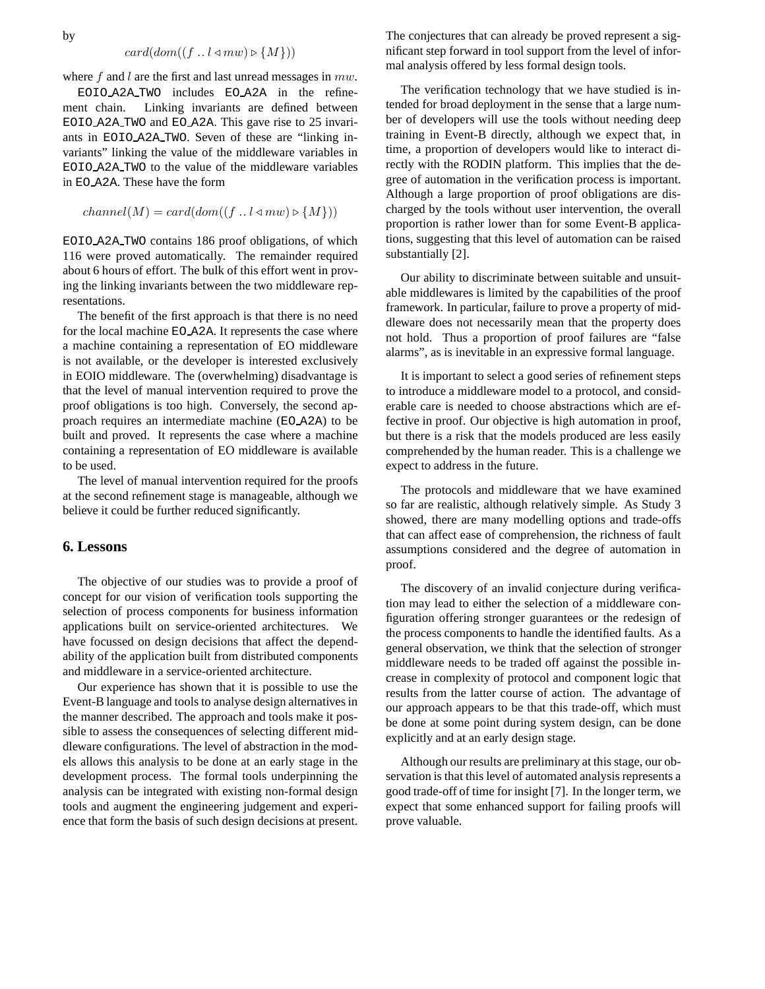#### $card(dom((f \ldots l \triangleleft m w) \triangleright \{M\}))$

where  $f$  and  $l$  are the first and last unread messages in  $mw$ . EOIO A2A TWO includes EO A2A in the refinement chain. Linking invariants are defined between EOIO A2A TWO and EO A2A. This gave rise to 25 invariants in EOIO A2A TWO. Seven of these are "linking invariants" linking the value of the middleware variables in EOIO A2A TWO to the value of the middleware variables in EO A2A. These have the form

$$
channel(M) = card(dom((f \dots l \triangleleft m w) \triangleright \{M\}))
$$

EOIO A2A TWO contains 186 proof obligations, of which 116 were proved automatically. The remainder required about 6 hours of effort. The bulk of this effort went in proving the linking invariants between the two middleware representations.

The benefit of the first approach is that there is no need for the local machine EO A2A. It represents the case where a machine containing a representation of EO middleware is not available, or the developer is interested exclusively in EOIO middleware. The (overwhelming) disadvantage is that the level of manual intervention required to prove the proof obligations is too high. Conversely, the second approach requires an intermediate machine (EO A2A) to be built and proved. It represents the case where a machine containing a representation of EO middleware is available to be used.

The level of manual intervention required for the proofs at the second refinement stage is manageable, although we believe it could be further reduced significantly.

#### **6. Lessons**

The objective of our studies was to provide a proof of concept for our vision of verification tools supporting the selection of process components for business information applications built on service-oriented architectures. We have focussed on design decisions that affect the dependability of the application built from distributed components and middleware in a service-oriented architecture.

Our experience has shown that it is possible to use the Event-B language and tools to analyse design alternatives in the manner described. The approach and tools make it possible to assess the consequences of selecting different middleware configurations. The level of abstraction in the models allows this analysis to be done at an early stage in the development process. The formal tools underpinning the analysis can be integrated with existing non-formal design tools and augment the engineering judgement and experience that form the basis of such design decisions at present.

The conjectures that can already be proved represent a significant step forward in tool support from the level of informal analysis offered by less formal design tools.

The verification technology that we have studied is intended for broad deployment in the sense that a large number of developers will use the tools without needing deep training in Event-B directly, although we expect that, in time, a proportion of developers would like to interact directly with the RODIN platform. This implies that the degree of automation in the verification process is important. Although a large proportion of proof obligations are discharged by the tools without user intervention, the overall proportion is rather lower than for some Event-B applications, suggesting that this level of automation can be raised substantially [2].

Our ability to discriminate between suitable and unsuitable middlewares is limited by the capabilities of the proof framework. In particular, failure to prove a property of middleware does not necessarily mean that the property does not hold. Thus a proportion of proof failures are "false alarms", as is inevitable in an expressive formal language.

It is important to select a good series of refinement steps to introduce a middleware model to a protocol, and considerable care is needed to choose abstractions which are effective in proof. Our objective is high automation in proof, but there is a risk that the models produced are less easily comprehended by the human reader. This is a challenge we expect to address in the future.

The protocols and middleware that we have examined so far are realistic, although relatively simple. As Study 3 showed, there are many modelling options and trade-offs that can affect ease of comprehension, the richness of fault assumptions considered and the degree of automation in proof.

The discovery of an invalid conjecture during verification may lead to either the selection of a middleware configuration offering stronger guarantees or the redesign of the process components to handle the identified faults. As a general observation, we think that the selection of stronger middleware needs to be traded off against the possible increase in complexity of protocol and component logic that results from the latter course of action. The advantage of our approach appears to be that this trade-off, which must be done at some point during system design, can be done explicitly and at an early design stage.

Although our results are preliminary at this stage, our observation is that this level of automated analysis represents a good trade-off of time for insight [7]. In the longer term, we expect that some enhanced support for failing proofs will prove valuable.